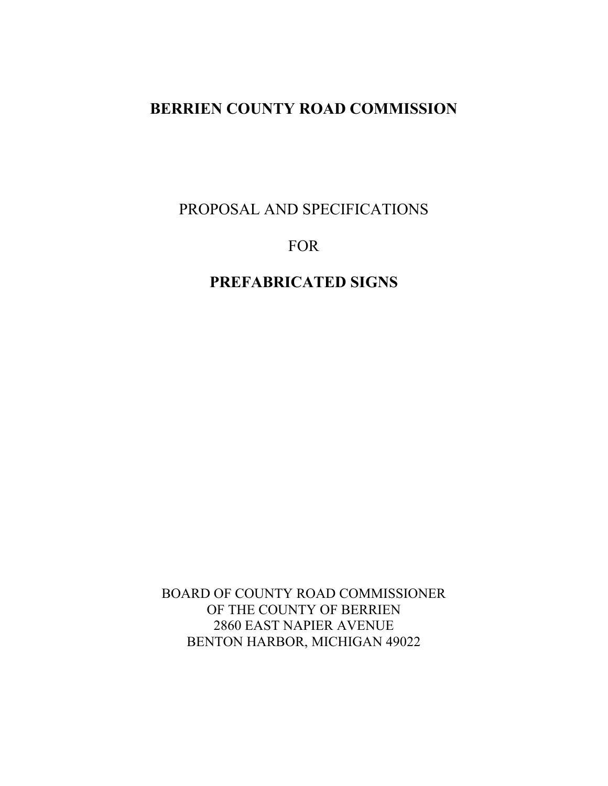PROPOSAL AND SPECIFICATIONS

## FOR

# **PREFABRICATED SIGNS**

BOARD OF COUNTY ROAD COMMISSIONER OF THE COUNTY OF BERRIEN 2860 EAST NAPIER AVENUE BENTON HARBOR, MICHIGAN 49022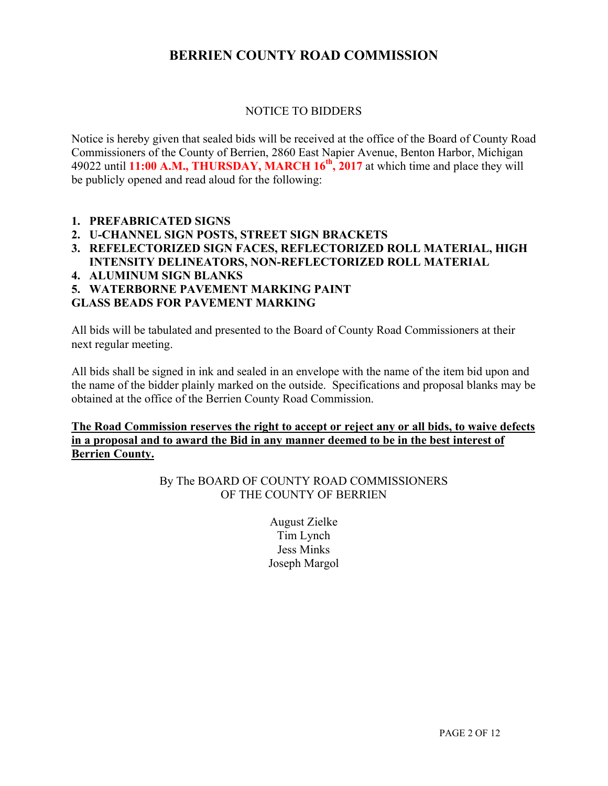### NOTICE TO BIDDERS

Notice is hereby given that sealed bids will be received at the office of the Board of County Road Commissioners of the County of Berrien, 2860 East Napier Avenue, Benton Harbor, Michigan 49022 until **11:00 A.M., THURSDAY, MARCH 16th, 2017** at which time and place they will be publicly opened and read aloud for the following:

- **1. PREFABRICATED SIGNS**
- **2. U-CHANNEL SIGN POSTS, STREET SIGN BRACKETS**
- **3. REFELECTORIZED SIGN FACES, REFLECTORIZED ROLL MATERIAL, HIGH INTENSITY DELINEATORS, NON-REFLECTORIZED ROLL MATERIAL**
- **4. ALUMINUM SIGN BLANKS**
- **5. WATERBORNE PAVEMENT MARKING PAINT**

#### **GLASS BEADS FOR PAVEMENT MARKING**

All bids will be tabulated and presented to the Board of County Road Commissioners at their next regular meeting.

All bids shall be signed in ink and sealed in an envelope with the name of the item bid upon and the name of the bidder plainly marked on the outside. Specifications and proposal blanks may be obtained at the office of the Berrien County Road Commission.

### **The Road Commission reserves the right to accept or reject any or all bids, to waive defects in a proposal and to award the Bid in any manner deemed to be in the best interest of Berrien County.**

By The BOARD OF COUNTY ROAD COMMISSIONERS OF THE COUNTY OF BERRIEN

> August Zielke Tim Lynch Jess Minks Joseph Margol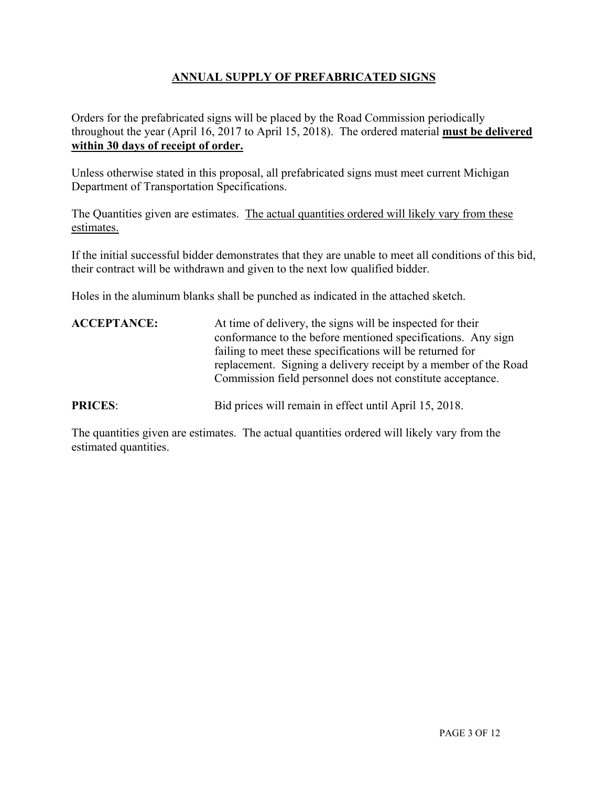### **ANNUAL SUPPLY OF PREFABRICATED SIGNS**

Orders for the prefabricated signs will be placed by the Road Commission periodically throughout the year (April 16, 2017 to April 15, 2018). The ordered material **must be delivered within 30 days of receipt of order.** 

Unless otherwise stated in this proposal, all prefabricated signs must meet current Michigan Department of Transportation Specifications.

The Quantities given are estimates. The actual quantities ordered will likely vary from these estimates.

If the initial successful bidder demonstrates that they are unable to meet all conditions of this bid, their contract will be withdrawn and given to the next low qualified bidder.

Holes in the aluminum blanks shall be punched as indicated in the attached sketch.

| <b>ACCEPTANCE:</b> | At time of delivery, the signs will be inspected for their<br>conformance to the before mentioned specifications. Any sign<br>failing to meet these specifications will be returned for<br>replacement. Signing a delivery receipt by a member of the Road<br>Commission field personnel does not constitute acceptance. |
|--------------------|--------------------------------------------------------------------------------------------------------------------------------------------------------------------------------------------------------------------------------------------------------------------------------------------------------------------------|
| <b>PRICES:</b>     | Bid prices will remain in effect until April 15, 2018.                                                                                                                                                                                                                                                                   |

The quantities given are estimates. The actual quantities ordered will likely vary from the estimated quantities.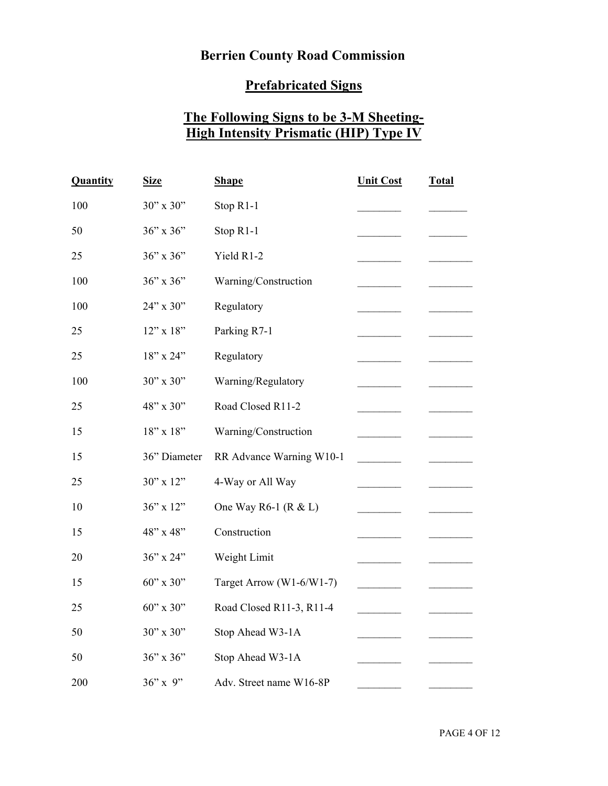## **Berrien County Road Commission**

## **Prefabricated Signs**

# **The Following Signs to be 3-M Sheeting-High Intensity Prismatic (HIP) Type IV**

| Quantity | <b>Size</b>  | <b>Shape</b>             | <b>Unit Cost</b> | <b>Total</b> |
|----------|--------------|--------------------------|------------------|--------------|
| 100      | 30" x 30"    | Stop R1-1                |                  |              |
| 50       | 36" x 36"    | Stop R1-1                |                  |              |
| 25       | 36" x 36"    | Yield R1-2               |                  |              |
| 100      | 36" x 36"    | Warning/Construction     |                  |              |
| 100      | 24" x 30"    | Regulatory               |                  |              |
| 25       | 12" x 18"    | Parking R7-1             |                  |              |
| 25       | 18" x 24"    | Regulatory               |                  |              |
| 100      | 30" x 30"    | Warning/Regulatory       |                  |              |
| 25       | 48" x 30"    | Road Closed R11-2        |                  |              |
| 15       | 18" x 18"    | Warning/Construction     |                  |              |
| 15       | 36" Diameter | RR Advance Warning W10-1 |                  |              |
| 25       | 30" x 12"    | 4-Way or All Way         |                  |              |
| 10       | 36" x 12"    | One Way R6-1 ( $R < L$ ) |                  |              |
| 15       | 48" x 48"    | Construction             |                  |              |
| 20       | 36" x 24"    | Weight Limit             |                  |              |
| 15       | 60" x 30"    | Target Arrow (W1-6/W1-7) |                  |              |
| 25       | 60" x 30"    | Road Closed R11-3, R11-4 |                  |              |
| 50       | 30" x 30"    | Stop Ahead W3-1A         |                  |              |
| 50       | 36" x 36"    | Stop Ahead W3-1A         |                  |              |
| 200      | $36''$ x 9"  | Adv. Street name W16-8P  |                  |              |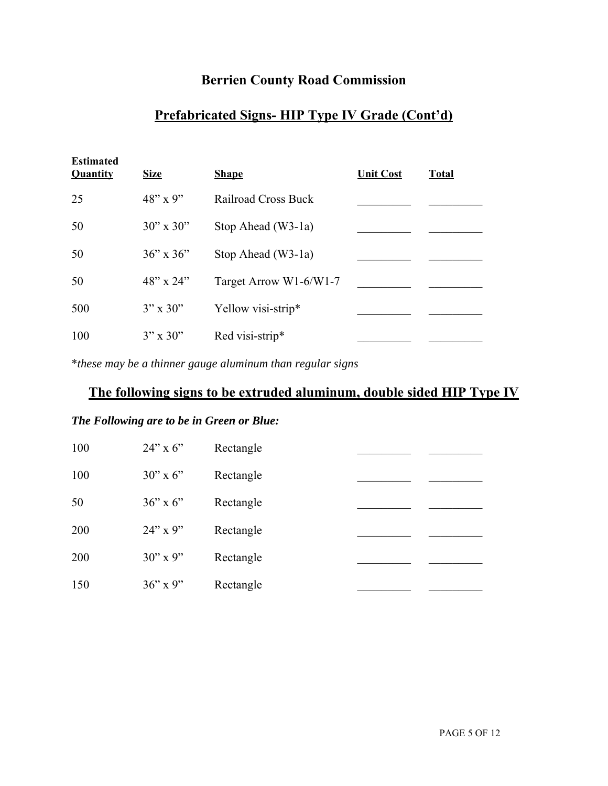## **Berrien County Road Commission**

### **Prefabricated Signs- HIP Type IV Grade (Cont'd)**

| <b>Estimated</b><br>Quantity | <b>Size</b>        | <b>Shape</b>               | <b>Unit Cost</b> | <b>Total</b> |
|------------------------------|--------------------|----------------------------|------------------|--------------|
| 25                           | $48'' \times 9''$  | <b>Railroad Cross Buck</b> |                  |              |
| 50                           | $30''$ x $30''$    | Stop Ahead (W3-1a)         |                  |              |
| 50                           | $36'' \times 36''$ | Stop Ahead (W3-1a)         |                  |              |
| 50                           | $48''$ x $24''$    | Target Arrow W1-6/W1-7     |                  |              |
| 500                          | $3'' \times 30''$  | Yellow visi-strip*         |                  |              |
| 100                          | $3'' \times 30''$  | Red visi-strip*            |                  |              |

\**these may be a thinner gauge aluminum than regular signs* 

### **The following signs to be extruded aluminum, double sided HIP Type IV**

#### *The Following are to be in Green or Blue:*

| 100 | $24$ " x 6"       | Rectangle |  |
|-----|-------------------|-----------|--|
| 100 | $30''$ x 6"       | Rectangle |  |
| 50  | $36'' \times 6''$ | Rectangle |  |
| 200 | $24"$ x 9"        | Rectangle |  |
| 200 | $30''$ x 9"       | Rectangle |  |
| 150 | $36''$ x 9"       | Rectangle |  |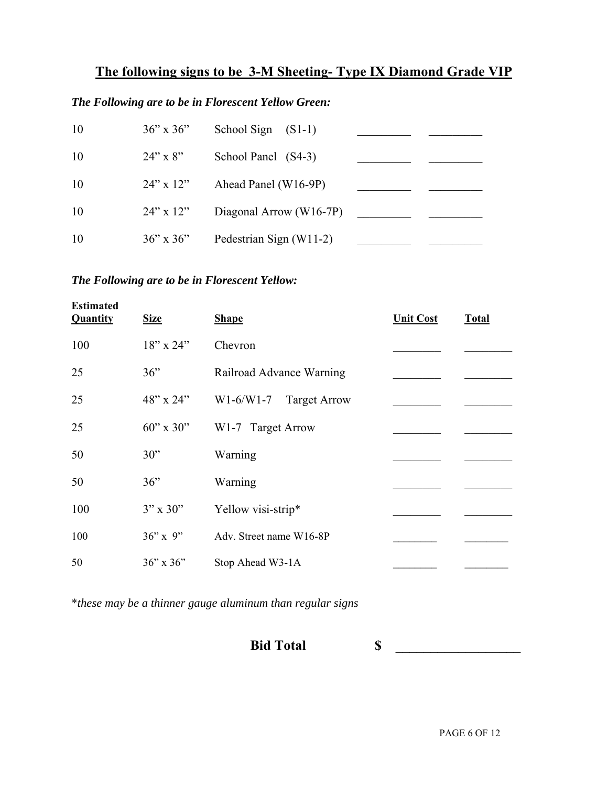# **The following signs to be 3-M Sheeting- Type IX Diamond Grade VIP**

### *The Following are to be in Florescent Yellow Green:*

| 10 | $36'' \times 36''$ | School Sign $(S1-1)$    |  |
|----|--------------------|-------------------------|--|
| 10 | $24" \times 8"$    | School Panel (S4-3)     |  |
| 10 | $24$ " x $12$ "    | Ahead Panel (W16-9P)    |  |
| 10 | $24$ " x $12$ "    | Diagonal Arrow (W16-7P) |  |
| 10 | $36'' \times 36''$ | Pedestrian Sign (W11-2) |  |

### *The Following are to be in Florescent Yellow:*

| <b>Estimated</b><br><b>Quantity</b> | <b>Size</b>       | <b>Shape</b>                       | <b>Unit Cost</b> | <b>Total</b> |
|-------------------------------------|-------------------|------------------------------------|------------------|--------------|
| 100                                 | $18"$ x 24"       | Chevron                            |                  |              |
| 25                                  | 36"               | Railroad Advance Warning           |                  |              |
| 25                                  | $48"$ x 24"       | $W1-6/W1-7$<br><b>Target Arrow</b> |                  |              |
| 25                                  | $60''$ x 30"      | W1-7 Target Arrow                  |                  |              |
| 50                                  | 30"               | Warning                            |                  |              |
| 50                                  | 36"               | Warning                            |                  |              |
| 100                                 | $3'' \times 30''$ | Yellow visi-strip*                 |                  |              |
| 100                                 | $36"$ x 9"        | Adv. Street name W16-8P            |                  |              |
| 50                                  | $36"$ x $36"$     | Stop Ahead W3-1A                   |                  |              |

\**these may be a thinner gauge aluminum than regular signs*

## **Bid Total S**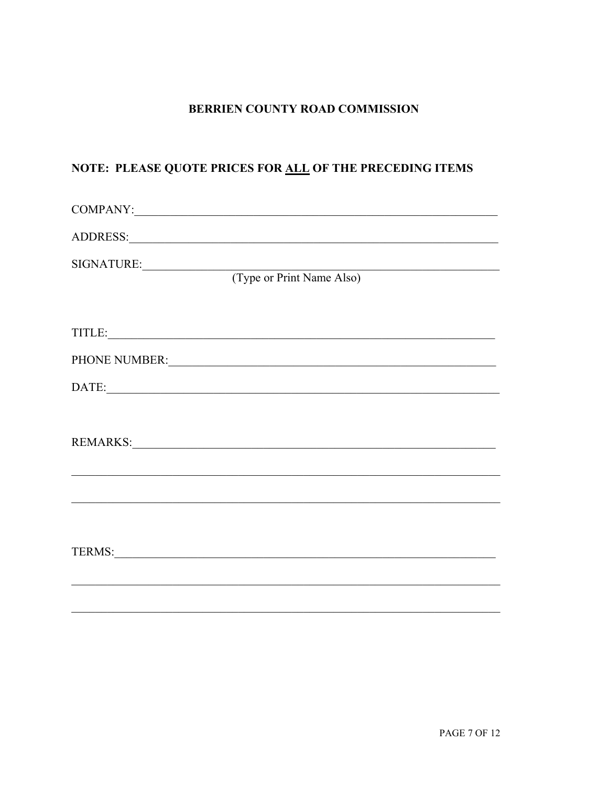## NOTE: PLEASE QUOTE PRICES FOR ALL OF THE PRECEDING ITEMS

| SIGNATURE: (Type or Print Name Also)                                                                                                                                                                                           |
|--------------------------------------------------------------------------------------------------------------------------------------------------------------------------------------------------------------------------------|
|                                                                                                                                                                                                                                |
| PHONE NUMBER: University of the contract of the contract of the contract of the contract of the contract of the contract of the contract of the contract of the contract of the contract of the contract of the contract of th |
| DATE:                                                                                                                                                                                                                          |
|                                                                                                                                                                                                                                |
|                                                                                                                                                                                                                                |
| TERMS: New York Contract the Contract of the Contract of the Contract of the Contract of the Contract of the Contract of the Contract of the Contract of the Contract of the Contract of the Contract of the Contract of the C |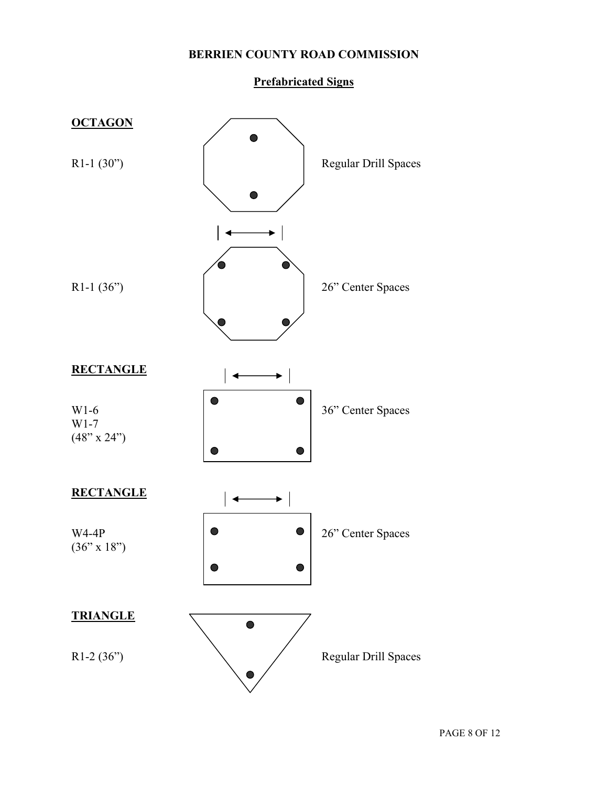### **Prefabricated Signs**

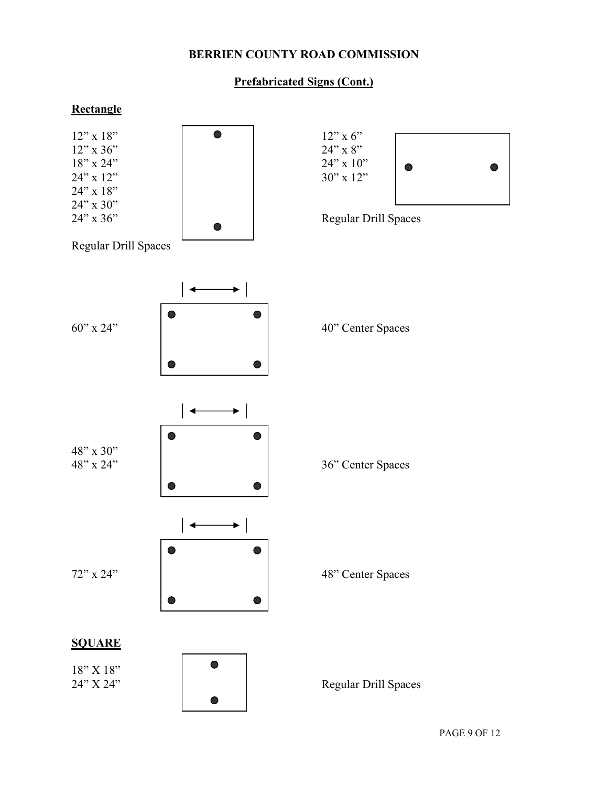### **Prefabricated Signs (Cont.)**

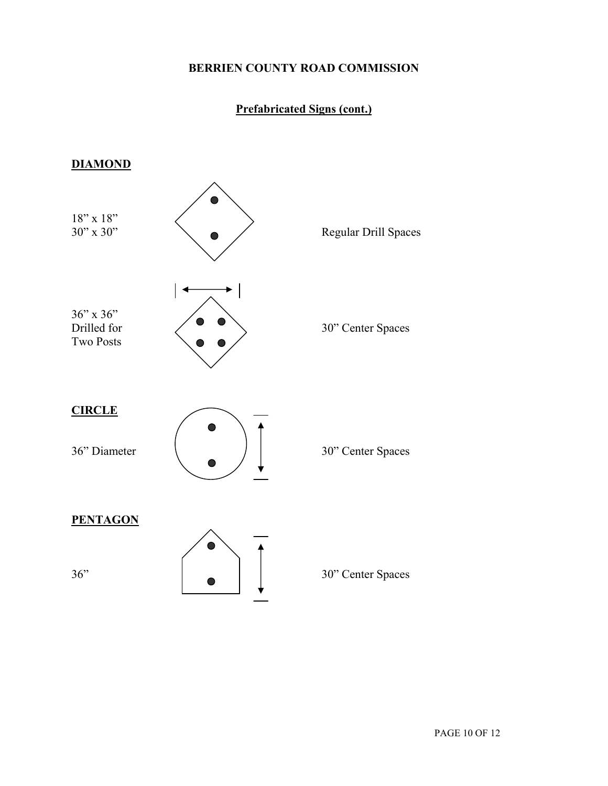### **Prefabricated Signs (cont.)**

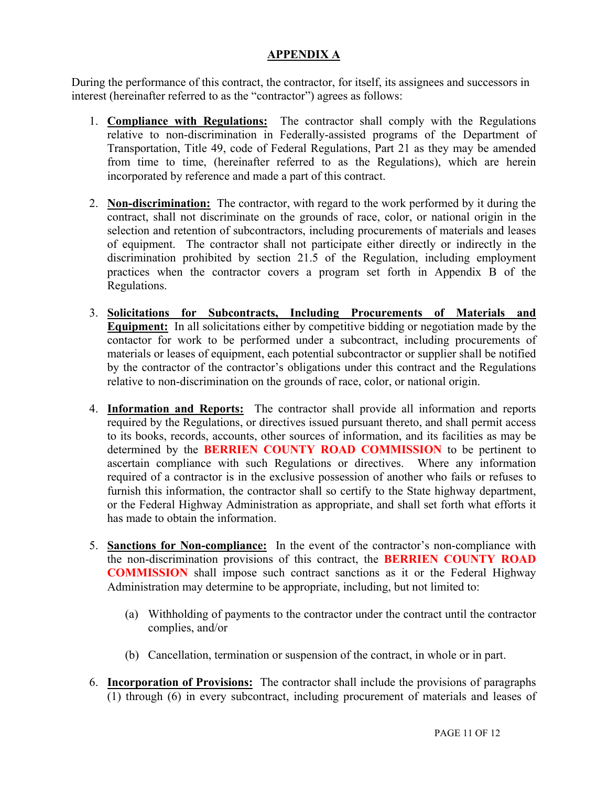### **APPENDIX A**

During the performance of this contract, the contractor, for itself, its assignees and successors in interest (hereinafter referred to as the "contractor") agrees as follows:

- 1. **Compliance with Regulations:** The contractor shall comply with the Regulations relative to non-discrimination in Federally-assisted programs of the Department of Transportation, Title 49, code of Federal Regulations, Part 21 as they may be amended from time to time, (hereinafter referred to as the Regulations), which are herein incorporated by reference and made a part of this contract.
- 2. **Non-discrimination:** The contractor, with regard to the work performed by it during the contract, shall not discriminate on the grounds of race, color, or national origin in the selection and retention of subcontractors, including procurements of materials and leases of equipment. The contractor shall not participate either directly or indirectly in the discrimination prohibited by section 21.5 of the Regulation, including employment practices when the contractor covers a program set forth in Appendix B of the Regulations.
- 3. **Solicitations for Subcontracts, Including Procurements of Materials and Equipment:** In all solicitations either by competitive bidding or negotiation made by the contactor for work to be performed under a subcontract, including procurements of materials or leases of equipment, each potential subcontractor or supplier shall be notified by the contractor of the contractor's obligations under this contract and the Regulations relative to non-discrimination on the grounds of race, color, or national origin.
- 4. **Information and Reports:** The contractor shall provide all information and reports required by the Regulations, or directives issued pursuant thereto, and shall permit access to its books, records, accounts, other sources of information, and its facilities as may be determined by the **BERRIEN COUNTY ROAD COMMISSION** to be pertinent to ascertain compliance with such Regulations or directives. Where any information required of a contractor is in the exclusive possession of another who fails or refuses to furnish this information, the contractor shall so certify to the State highway department, or the Federal Highway Administration as appropriate, and shall set forth what efforts it has made to obtain the information.
- 5. **Sanctions for Non-compliance:** In the event of the contractor's non-compliance with the non-discrimination provisions of this contract, the **BERRIEN COUNTY ROAD COMMISSION** shall impose such contract sanctions as it or the Federal Highway Administration may determine to be appropriate, including, but not limited to:
	- (a) Withholding of payments to the contractor under the contract until the contractor complies, and/or
	- (b) Cancellation, termination or suspension of the contract, in whole or in part.
- 6. **Incorporation of Provisions:** The contractor shall include the provisions of paragraphs (1) through (6) in every subcontract, including procurement of materials and leases of